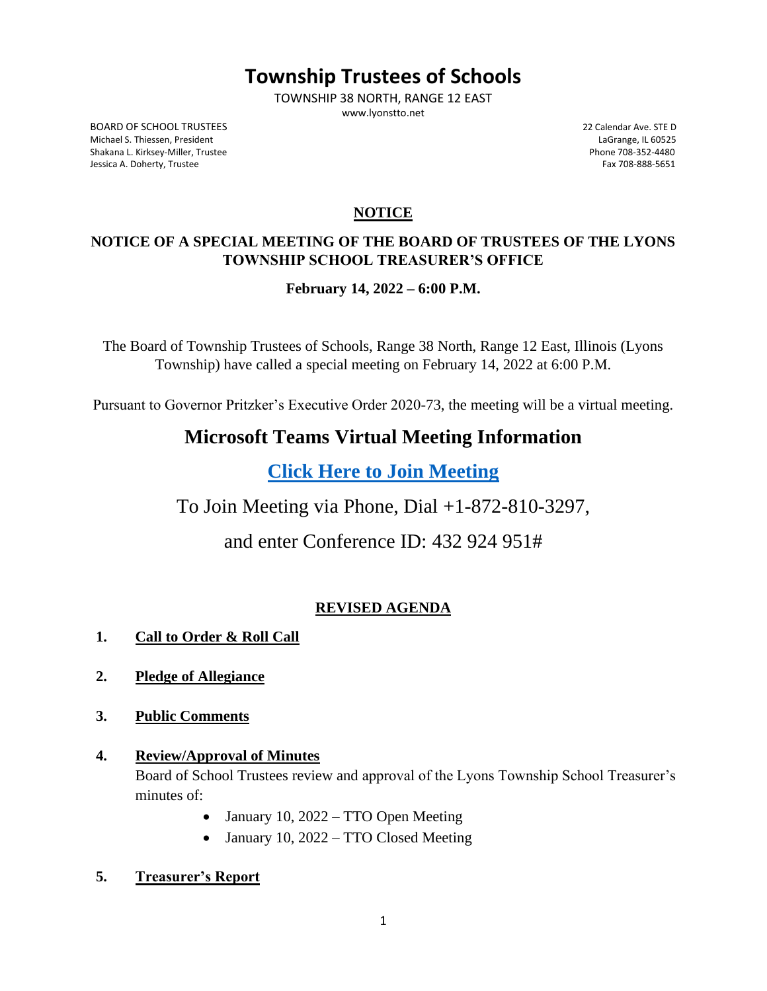# **Township Trustees of Schools**

TOWNSHIP 38 NORTH, RANGE 12 EAST www.lyonstto.net

BOARD OF SCHOOL TRUSTEES 6 22 Calendar Ave. STE D<br>Michael S. Thiessen, President (1992) 20 Calendar Ave. STE D Michael S. Thiessen, President LaGrange, IL 60525 Shakana L. Kirksey-Miller, Trustee Jessica A. Doherty, Trustee Fax 708-888-5651

## **NOTICE**

## **NOTICE OF A SPECIAL MEETING OF THE BOARD OF TRUSTEES OF THE LYONS TOWNSHIP SCHOOL TREASURER'S OFFICE**

**February 14, 2022 – 6:00 P.M.**

The Board of Township Trustees of Schools, Range 38 North, Range 12 East, Illinois (Lyons Township) have called a special meeting on February 14, 2022 at 6:00 P.M.

Pursuant to Governor Pritzker's Executive Order 2020-73, the meeting will be a virtual meeting.

## **Microsoft Teams Virtual Meeting Information**

**[Click Here to Join](https://teams.microsoft.com/l/meetup-join/19%3ameeting_NzhhZThiNDctOWFmNS00ODk4LTgxODYtODI5NDYyYWEzNjg1%40thread.v2/0?context=%7b%22Tid%22%3a%228b67c7f8-d68e-4260-8d60-39b3b12d46a4%22%2c%22Oid%22%3a%220dbf15bf-a57c-4046-8a07-d1843375ea9a%22%7d) Meeting**

To Join Meeting via Phone, Dial +1-872-810-3297,

and enter Conference ID: 432 924 951#

## **REVISED AGENDA**

- **1. Call to Order & Roll Call**
- **2. Pledge of Allegiance**
- **3. Public Comments**
- **4. Review/Approval of Minutes** Board of School Trustees review and approval of the Lyons Township School Treasurer's minutes of:
	- January 10, 2022 TTO Open Meeting
	- January 10, 2022 TTO Closed Meeting
- **5. Treasurer's Report**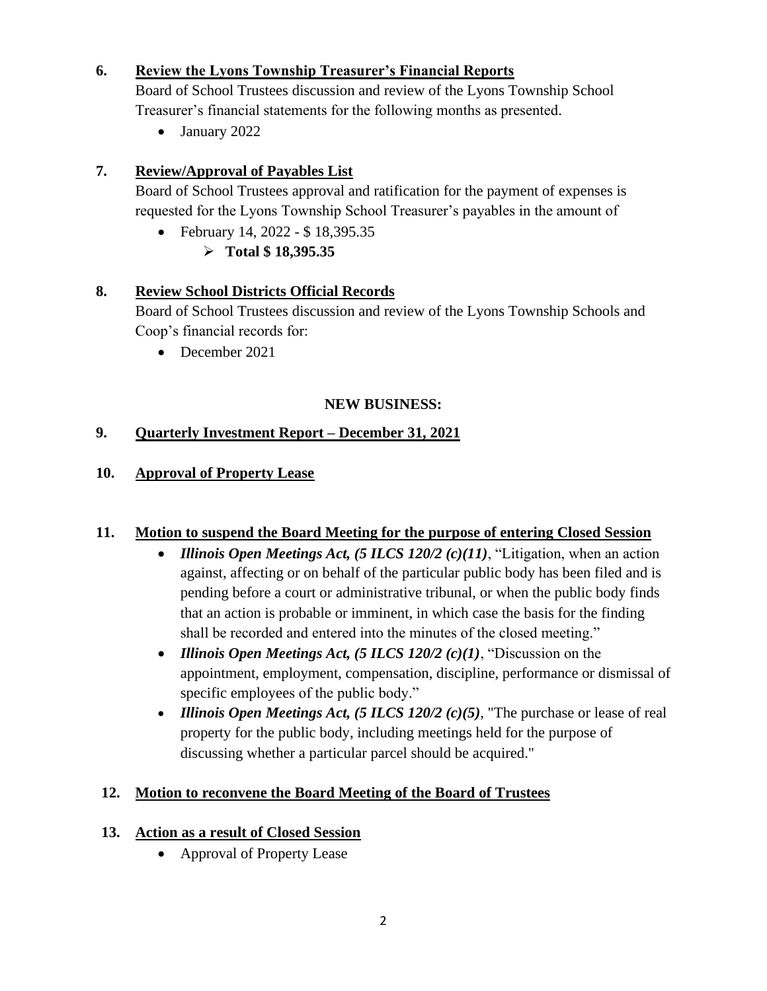#### **6. Review the Lyons Township Treasurer's Financial Reports**

Board of School Trustees discussion and review of the Lyons Township School Treasurer's financial statements for the following months as presented.

• January 2022

### **7. Review/Approval of Payables List**

Board of School Trustees approval and ratification for the payment of expenses is requested for the Lyons Township School Treasurer's payables in the amount of

• February 14, 2022 - \$ 18,395.35 ➢ **Total \$ 18,395.35**

#### **8. Review School Districts Official Records**

Board of School Trustees discussion and review of the Lyons Township Schools and Coop's financial records for:

• December 2021

#### **NEW BUSINESS:**

#### **9. Quarterly Investment Report – December 31, 2021**

#### **10. Approval of Property Lease**

#### **11. Motion to suspend the Board Meeting for the purpose of entering Closed Session**

- *Illinois Open Meetings Act, (5 ILCS 120/2 (c)(11)*, "Litigation, when an action against, affecting or on behalf of the particular public body has been filed and is pending before a court or administrative tribunal, or when the public body finds that an action is probable or imminent, in which case the basis for the finding shall be recorded and entered into the minutes of the closed meeting."
- *Illinois Open Meetings Act, (5 ILCS 120/2 (c)(1)*, "Discussion on the appointment, employment, compensation, discipline, performance or dismissal of specific employees of the public body."
- *Illinois Open Meetings Act, (5 ILCS 120/2 (c)(5)*, "The purchase or lease of real property for the public body, including meetings held for the purpose of discussing whether a particular parcel should be acquired."

#### **12. Motion to reconvene the Board Meeting of the Board of Trustees**

#### **13. Action as a result of Closed Session**

• Approval of Property Lease